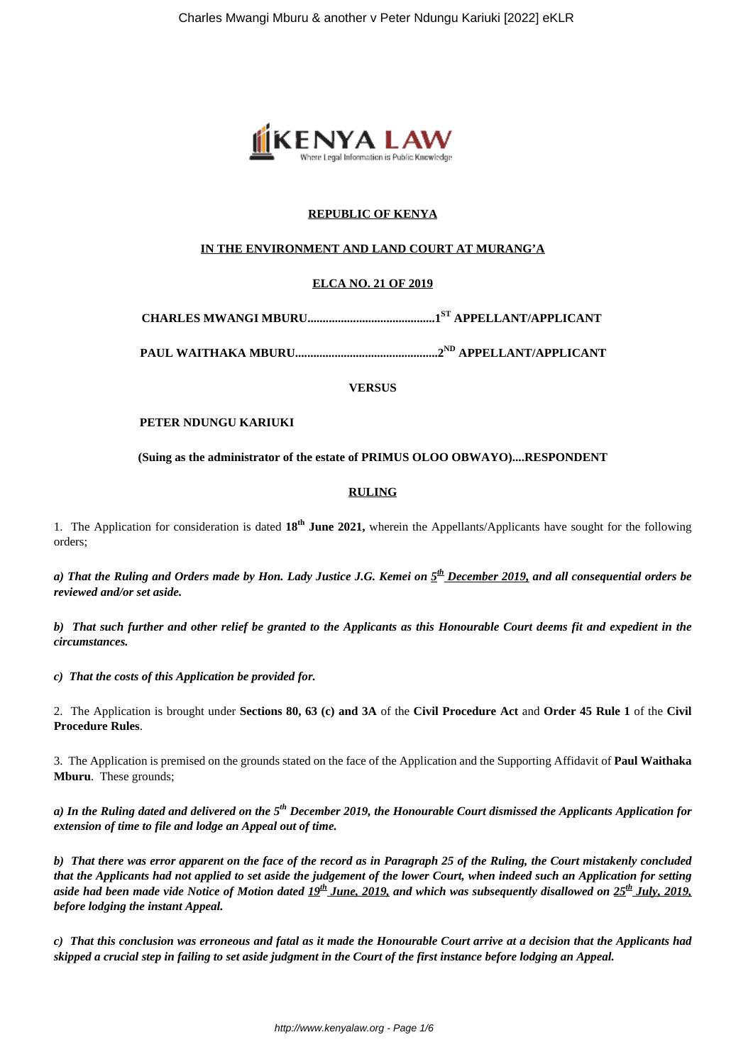

# **REPUBLIC OF KENYA**

## **IN THE ENVIRONMENT AND LAND COURT AT MURANG'A**

# **ELCA NO. 21 OF 2019**

**CHARLES MWANGI MBURU..........................................1ST APPELLANT/APPLICANT** 

**PAUL WAITHAKA MBURU...............................................2ND APPELLANT/APPLICANT**

**VERSUS**

## **PETER NDUNGU KARIUKI**

#### **(Suing as the administrator of the estate of PRIMUS OLOO OBWAYO)....RESPONDENT**

## **RULING**

1. The Application for consideration is dated **18th June 2021,** wherein the Appellants/Applicants have sought for the following orders;

*a) That the Ruling and Orders made by Hon. Lady Justice J.G. Kemei on 5 th December 2019, and all consequential orders be reviewed and/or set aside.*

*b) That such further and other relief be granted to the Applicants as this Honourable Court deems fit and expedient in the circumstances.*

*c) That the costs of this Application be provided for.*

2. The Application is brought under **Sections 80, 63 (c) and 3A** of the **Civil Procedure Act** and **Order 45 Rule 1** of the **Civil Procedure Rules**.

3. The Application is premised on the grounds stated on the face of the Application and the Supporting Affidavit of **Paul Waithaka Mburu**. These grounds;

*a) In the Ruling dated and delivered on the 5th December 2019, the Honourable Court dismissed the Applicants Application for extension of time to file and lodge an Appeal out of time.*

*b) That there was error apparent on the face of the record as in Paragraph 25 of the Ruling, the Court mistakenly concluded that the Applicants had not applied to set aside the judgement of the lower Court, when indeed such an Application for setting aside had been made vide Notice of Motion dated 19th June, 2019, and which was subsequently disallowed on 25th July, 2019, before lodging the instant Appeal.* 

*c) That this conclusion was erroneous and fatal as it made the Honourable Court arrive at a decision that the Applicants had skipped a crucial step in failing to set aside judgment in the Court of the first instance before lodging an Appeal.*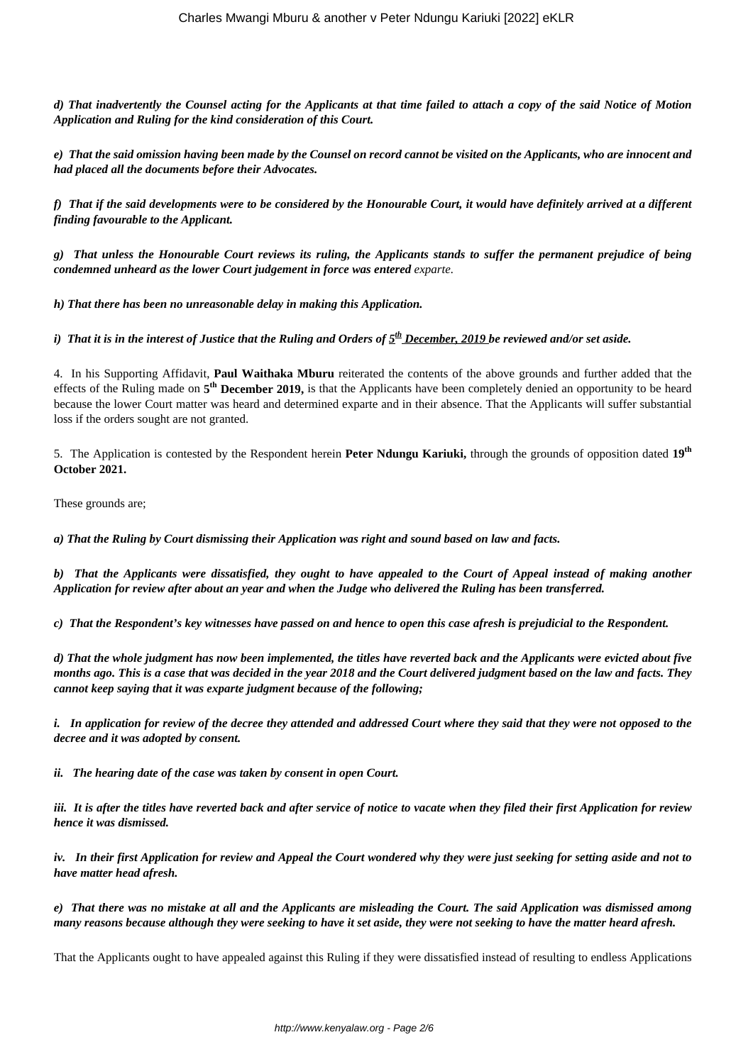*d) That inadvertently the Counsel acting for the Applicants at that time failed to attach a copy of the said Notice of Motion Application and Ruling for the kind consideration of this Court.*

*e) That the said omission having been made by the Counsel on record cannot be visited on the Applicants, who are innocent and had placed all the documents before their Advocates.*

*f) That if the said developments were to be considered by the Honourable Court, it would have definitely arrived at a different finding favourable to the Applicant.*

*g) That unless the Honourable Court reviews its ruling, the Applicants stands to suffer the permanent prejudice of being condemned unheard as the lower Court judgement in force was entered exparte.* 

*h) That there has been no unreasonable delay in making this Application.*

*i) That it is in the interest of Justice that the Ruling and Orders of 5 th December, 2019 be reviewed and/or set aside.*

4. In his Supporting Affidavit, **Paul Waithaka Mburu** reiterated the contents of the above grounds and further added that the effects of the Ruling made on **5 th December 2019,** is that the Applicants have been completely denied an opportunity to be heard because the lower Court matter was heard and determined exparte and in their absence. That the Applicants will suffer substantial loss if the orders sought are not granted.

5. The Application is contested by the Respondent herein **Peter Ndungu Kariuki,** through the grounds of opposition dated **19th October 2021.**

These grounds are;

*a) That the Ruling by Court dismissing their Application was right and sound based on law and facts.*

*b) That the Applicants were dissatisfied, they ought to have appealed to the Court of Appeal instead of making another Application for review after about an year and when the Judge who delivered the Ruling has been transferred.* 

*c) That the Respondent's key witnesses have passed on and hence to open this case afresh is prejudicial to the Respondent.*

*d) That the whole judgment has now been implemented, the titles have reverted back and the Applicants were evicted about five months ago. This is a case that was decided in the year 2018 and the Court delivered judgment based on the law and facts. They cannot keep saying that it was exparte judgment because of the following;*

*i. In application for review of the decree they attended and addressed Court where they said that they were not opposed to the decree and it was adopted by consent.* 

*ii. The hearing date of the case was taken by consent in open Court.*

*iii. It is after the titles have reverted back and after service of notice to vacate when they filed their first Application for review hence it was dismissed.*

*iv. In their first Application for review and Appeal the Court wondered why they were just seeking for setting aside and not to have matter head afresh.*

*e) That there was no mistake at all and the Applicants are misleading the Court. The said Application was dismissed among many reasons because although they were seeking to have it set aside, they were not seeking to have the matter heard afresh.* 

That the Applicants ought to have appealed against this Ruling if they were dissatisfied instead of resulting to endless Applications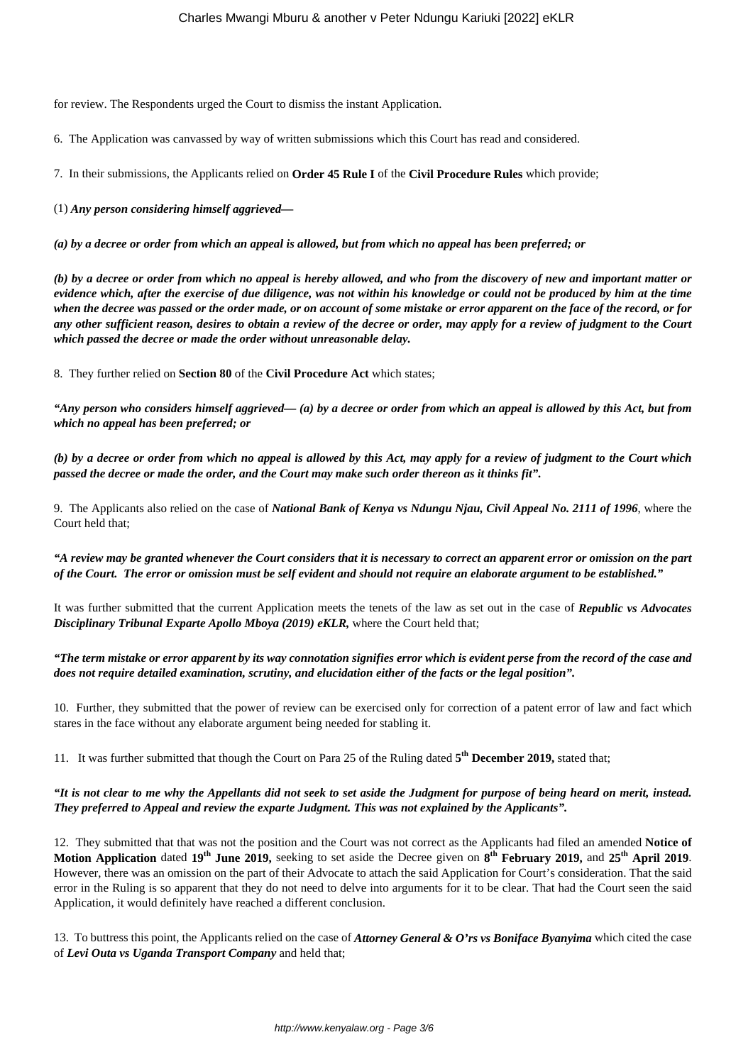for review. The Respondents urged the Court to dismiss the instant Application.

6. The Application was canvassed by way of written submissions which this Court has read and considered.

7. In their submissions, the Applicants relied on **Order 45 Rule I** of the **Civil Procedure Rules** which provide;

(1) *Any person considering himself aggrieved—*

*(a) by a decree or order from which an appeal is allowed, but from which no appeal has been preferred; or*

*(b) by a decree or order from which no appeal is hereby allowed, and who from the discovery of new and important matter or evidence which, after the exercise of due diligence, was not within his knowledge or could not be produced by him at the time when the decree was passed or the order made, or on account of some mistake or error apparent on the face of the record, or for any other sufficient reason, desires to obtain a review of the decree or order, may apply for a review of judgment to the Court which passed the decree or made the order without unreasonable delay.*

8. They further relied on **Section 80** of the **Civil Procedure Act** which states;

*"Any person who considers himself aggrieved— (a) by a decree or order from which an appeal is allowed by this Act, but from which no appeal has been preferred; or* 

*(b) by a decree or order from which no appeal is allowed by this Act, may apply for a review of judgment to the Court which passed the decree or made the order, and the Court may make such order thereon as it thinks fit".*

9. The Applicants also relied on the case of *National Bank of Kenya vs Ndungu Njau, Civil Appeal No. 2111 of 1996*, where the Court held that;

*"A review may be granted whenever the Court considers that it is necessary to correct an apparent error or omission on the part of the Court. The error or omission must be self evident and should not require an elaborate argument to be established."*

It was further submitted that the current Application meets the tenets of the law as set out in the case of *Republic vs Advocates Disciplinary Tribunal Exparte Apollo Mboya (2019) eKLR,* where the Court held that;

## *"The term mistake or error apparent by its way connotation signifies error which is evident perse from the record of the case and does not require detailed examination, scrutiny, and elucidation either of the facts or the legal position".*

10. Further, they submitted that the power of review can be exercised only for correction of a patent error of law and fact which stares in the face without any elaborate argument being needed for stabling it.

11. It was further submitted that though the Court on Para 25 of the Ruling dated **5 th December 2019,** stated that;

## *"It is not clear to me why the Appellants did not seek to set aside the Judgment for purpose of being heard on merit, instead. They preferred to Appeal and review the exparte Judgment. This was not explained by the Applicants".*

12. They submitted that that was not the position and the Court was not correct as the Applicants had filed an amended **Notice of Motion Application** dated **19th June 2019,** seeking to set aside the Decree given on **8 th February 2019,** and **25th April 2019**. However, there was an omission on the part of their Advocate to attach the said Application for Court's consideration. That the said error in the Ruling is so apparent that they do not need to delve into arguments for it to be clear. That had the Court seen the said Application, it would definitely have reached a different conclusion.

13. To buttress this point, the Applicants relied on the case of *Attorney General & O'rs vs Boniface Byanyima* which cited the case of *Levi Outa vs Uganda Transport Company* and held that;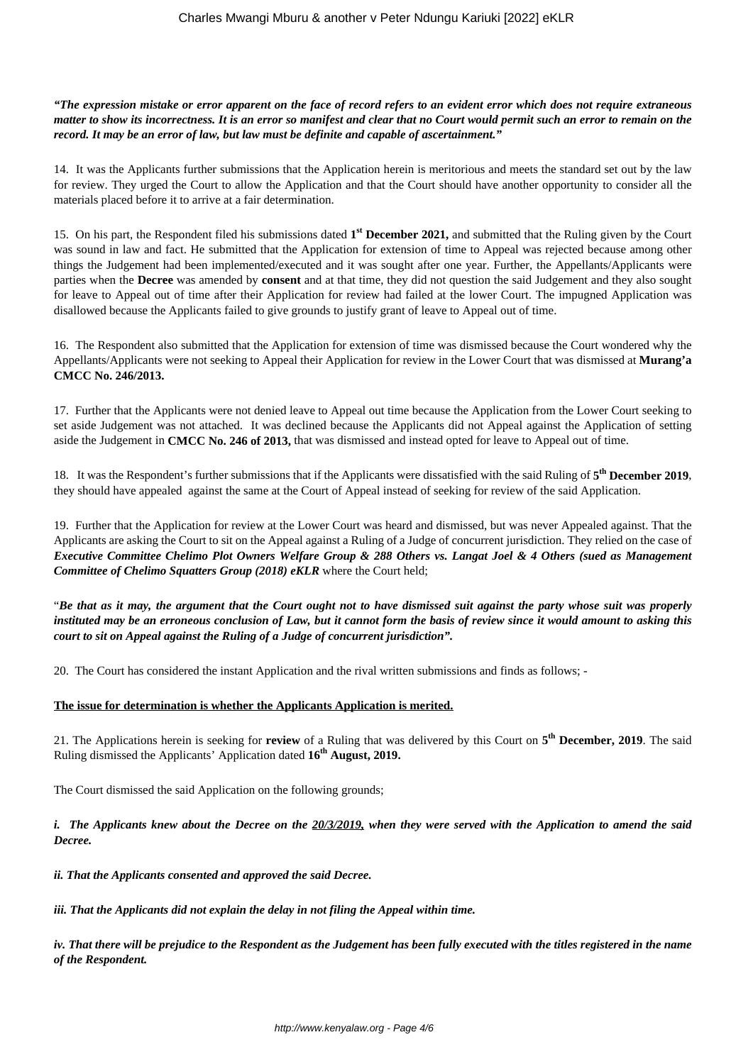## *"The expression mistake or error apparent on the face of record refers to an evident error which does not require extraneous matter to show its incorrectness. It is an error so manifest and clear that no Court would permit such an error to remain on the record. It may be an error of law, but law must be definite and capable of ascertainment."*

14. It was the Applicants further submissions that the Application herein is meritorious and meets the standard set out by the law for review. They urged the Court to allow the Application and that the Court should have another opportunity to consider all the materials placed before it to arrive at a fair determination.

15. On his part, the Respondent filed his submissions dated **1 st December 2021,** and submitted that the Ruling given by the Court was sound in law and fact. He submitted that the Application for extension of time to Appeal was rejected because among other things the Judgement had been implemented/executed and it was sought after one year. Further, the Appellants/Applicants were parties when the **Decree** was amended by **consent** and at that time, they did not question the said Judgement and they also sought for leave to Appeal out of time after their Application for review had failed at the lower Court. The impugned Application was disallowed because the Applicants failed to give grounds to justify grant of leave to Appeal out of time.

16. The Respondent also submitted that the Application for extension of time was dismissed because the Court wondered why the Appellants/Applicants were not seeking to Appeal their Application for review in the Lower Court that was dismissed at **Murang'a CMCC No. 246/2013.**

17. Further that the Applicants were not denied leave to Appeal out time because the Application from the Lower Court seeking to set aside Judgement was not attached. It was declined because the Applicants did not Appeal against the Application of setting aside the Judgement in **CMCC No. 246 of 2013,** that was dismissed and instead opted for leave to Appeal out of time.

18. It was the Respondent's further submissions that if the Applicants were dissatisfied with the said Ruling of **5 th December 2019**, they should have appealed against the same at the Court of Appeal instead of seeking for review of the said Application.

19. Further that the Application for review at the Lower Court was heard and dismissed, but was never Appealed against. That the Applicants are asking the Court to sit on the Appeal against a Ruling of a Judge of concurrent jurisdiction. They relied on the case of *Executive Committee Chelimo Plot Owners Welfare Group & 288 Others vs. Langat Joel & 4 Others (sued as Management Committee of Chelimo Squatters Group (2018) eKLR* where the Court held;

"*Be that as it may, the argument that the Court ought not to have dismissed suit against the party whose suit was properly instituted may be an erroneous conclusion of Law, but it cannot form the basis of review since it would amount to asking this court to sit on Appeal against the Ruling of a Judge of concurrent jurisdiction".*

20. The Court has considered the instant Application and the rival written submissions and finds as follows; -

## **The issue for determination is whether the Applicants Application is merited.**

21. The Applications herein is seeking for **review** of a Ruling that was delivered by this Court on **5 th December, 2019**. The said Ruling dismissed the Applicants' Application dated **16th August, 2019.**

The Court dismissed the said Application on the following grounds;

*i. The Applicants knew about the Decree on the 20/3/2019, when they were served with the Application to amend the said Decree.*

*ii. That the Applicants consented and approved the said Decree.*

*iii. That the Applicants did not explain the delay in not filing the Appeal within time.*

*iv. That there will be prejudice to the Respondent as the Judgement has been fully executed with the titles registered in the name of the Respondent.*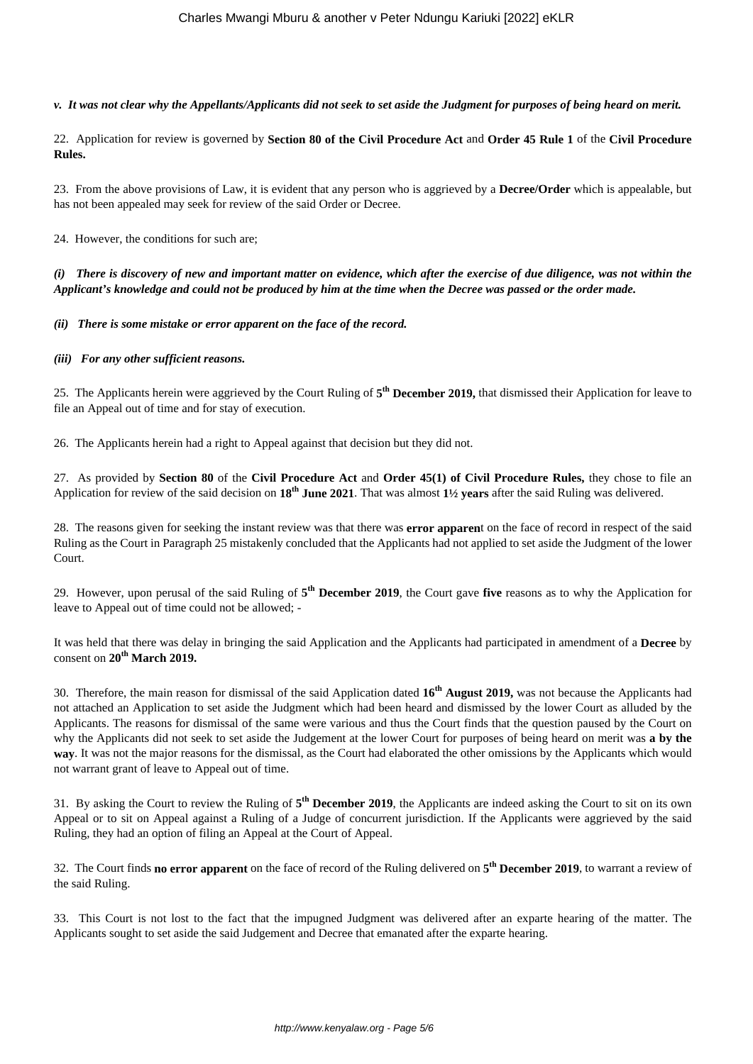*v. It was not clear why the Appellants/Applicants did not seek to set aside the Judgment for purposes of being heard on merit.*

22. Application for review is governed by **Section 80 of the Civil Procedure Act** and **Order 45 Rule 1** of the **Civil Procedure Rules.**

23. From the above provisions of Law, it is evident that any person who is aggrieved by a **Decree/Order** which is appealable, but has not been appealed may seek for review of the said Order or Decree.

24. However, the conditions for such are;

*(i) There is discovery of new and important matter on evidence, which after the exercise of due diligence, was not within the Applicant's knowledge and could not be produced by him at the time when the Decree was passed or the order made.*

*(ii) There is some mistake or error apparent on the face of the record.*

#### *(iii) For any other sufficient reasons.*

25. The Applicants herein were aggrieved by the Court Ruling of **5 th December 2019,** that dismissed their Application for leave to file an Appeal out of time and for stay of execution.

26. The Applicants herein had a right to Appeal against that decision but they did not.

27. As provided by **Section 80** of the **Civil Procedure Act** and **Order 45(1) of Civil Procedure Rules,** they chose to file an Application for review of the said decision on **18th June 2021**. That was almost **1½ years** after the said Ruling was delivered.

28. The reasons given for seeking the instant review was that there was **error apparen**t on the face of record in respect of the said Ruling as the Court in Paragraph 25 mistakenly concluded that the Applicants had not applied to set aside the Judgment of the lower Court.

29. However, upon perusal of the said Ruling of **5 th December 2019**, the Court gave **five** reasons as to why the Application for leave to Appeal out of time could not be allowed; -

It was held that there was delay in bringing the said Application and the Applicants had participated in amendment of a **Decree** by consent on **20th March 2019.**

30. Therefore, the main reason for dismissal of the said Application dated **16th August 2019,** was not because the Applicants had not attached an Application to set aside the Judgment which had been heard and dismissed by the lower Court as alluded by the Applicants. The reasons for dismissal of the same were various and thus the Court finds that the question paused by the Court on why the Applicants did not seek to set aside the Judgement at the lower Court for purposes of being heard on merit was **a by the way**. It was not the major reasons for the dismissal, as the Court had elaborated the other omissions by the Applicants which would not warrant grant of leave to Appeal out of time.

31. By asking the Court to review the Ruling of **5 th December 2019**, the Applicants are indeed asking the Court to sit on its own Appeal or to sit on Appeal against a Ruling of a Judge of concurrent jurisdiction. If the Applicants were aggrieved by the said Ruling, they had an option of filing an Appeal at the Court of Appeal.

32. The Court finds **no error apparent** on the face of record of the Ruling delivered on **5 th December 2019**, to warrant a review of the said Ruling.

33. This Court is not lost to the fact that the impugned Judgment was delivered after an exparte hearing of the matter. The Applicants sought to set aside the said Judgement and Decree that emanated after the exparte hearing.